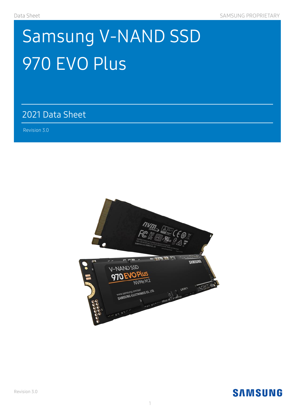# Samsung V-NAND SSD 970 EVO Plus

### 2021 Data Sheet

 $\mathcal{A}(\mathcal{A})=\mathcal{A}(\mathcal{A})$  ,  $\mathcal{A}(\mathcal{A})=\mathcal{A}(\mathcal{A})$  ,  $\mathcal{A}(\mathcal{A})=\mathcal{A}(\mathcal{A})$ 

Revision 3.0 )

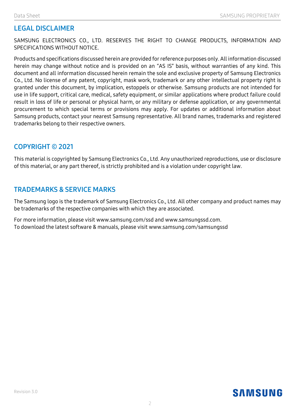#### **LEGAL DISCLAIMER**

SAMSUNG ELECTRONICS CO., LTD. RESERVES THE RIGHT TO CHANGE PRODUCTS, INFORMATION AND SPECIFICATIONS WITHOUT NOTICE.

Products and specifications discussed herein are provided for reference purposes only. All information discussed herein may change without notice and is provided on an "AS IS" basis, without warranties of any kind. This document and all information discussed herein remain the sole and exclusive property of Samsung Electronics Co., Ltd. No license of any patent, copyright, mask work, trademark or any other intellectual property right is granted under this document, by implication, estoppels or otherwise. Samsung products are not intended for use in life support, critical care, medical, safety equipment, or similar applications where product failure could result in loss of life or personal or physical harm, or any military or defense application, or any governmental procurement to which special terms or provisions may apply. For updates or additional information about Samsung products, contact your nearest Samsung representative. All brand names, trademarks and registered trademarks belong to their respective owners.

#### **COPYRIGHT © 2021**

This material is copyrighted by Samsung Electronics Co., Ltd. Any unauthorized reproductions, use or disclosure of this material, or any part thereof, is strictly prohibited and is a violation under copyright law.

#### **TRADEMARKS & SERVICE MARKS**

The Samsung logo is the trademark of Samsung Electronics Co., Ltd. All other company and product names may be trademarks of the respective companies with which they are associated.

For more information, please visit www.samsung.com/ssd and www.samsungssd.com. To download the latest software & manuals, please visit www.samsung.com/samsungssd

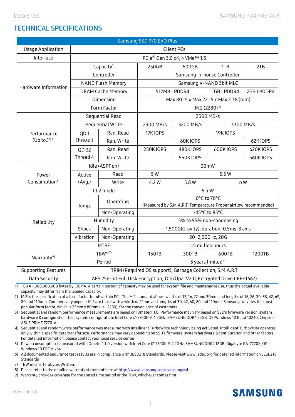#### **TECHNICAL SPECIFICATIONS**

| Samsung SSD 970 EVO Plus   |                                                                             |                |                                                                                |                 |                 |           |  |
|----------------------------|-----------------------------------------------------------------------------|----------------|--------------------------------------------------------------------------------|-----------------|-----------------|-----------|--|
| <b>Usage Application</b>   | Client PCs                                                                  |                |                                                                                |                 |                 |           |  |
| Interface                  | PCle® Gen 3.0 x4, NVMe™ 1.3                                                 |                |                                                                                |                 |                 |           |  |
| Hardware Information       | Capacity <sup>1)</sup>                                                      |                | 250GB                                                                          | 500GB           | 1TB             | 2TB       |  |
|                            | Controller                                                                  |                | Samsung in-house Controller                                                    |                 |                 |           |  |
|                            | <b>NAND Flash Memory</b>                                                    |                | Samsung V-NAND 3bit MLC                                                        |                 |                 |           |  |
|                            | <b>DRAM Cache Memory</b>                                                    |                | 512MB LPDDR4<br>1GB LPDDR4<br>2GB LPDDR4                                       |                 |                 |           |  |
|                            | Dimension                                                                   |                | Max 80.15 x Max 22.15 x Max 2.38 (mm)                                          |                 |                 |           |  |
|                            | Form Factor                                                                 |                | M.2 (2280) <sup>2)</sup>                                                       |                 |                 |           |  |
|                            | Sequential Read                                                             |                | 3500 MB/s                                                                      |                 |                 |           |  |
|                            | Sequential Write                                                            |                | 2300 MB/s                                                                      | 3200 MB/s       |                 | 3300 MB/s |  |
| Performance                | QD1                                                                         | Ran. Read      | 17K IOPS                                                                       |                 | <b>19K IOPS</b> |           |  |
| $(Up to.)^{3(4)}$          | Thread 1                                                                    | Ran. Write     |                                                                                | 60KIOPS         | 62K IOPS        |           |  |
|                            | QD 32                                                                       | Ran. Read      | <b>250KIOPS</b>                                                                | 480K IOPS       | 600K IOPS       | 620K IOPS |  |
|                            | Thread 4                                                                    | Ran. Write     |                                                                                | <b>550KIOPS</b> |                 | 560K IOPS |  |
|                            |                                                                             | Idle (ASPT on) | 30mW                                                                           |                 |                 |           |  |
| Power                      | Active                                                                      | Read           | 5 W                                                                            |                 | 5.5W            |           |  |
| Consumption <sup>5)</sup>  | (Avq.)                                                                      | Write          | 4.2 W                                                                          | 5.8 W           | 6 W             |           |  |
|                            |                                                                             | L1.2 mode      |                                                                                |                 | 5 mW            |           |  |
|                            | Temp.                                                                       | Operating      | 0°C to 70°C<br>(Measured by S.M.A.R.T. Temperature Proper airflow recommended) |                 |                 |           |  |
| Reliability                |                                                                             | Non-Operating  | -45°C to 85°C                                                                  |                 |                 |           |  |
|                            | Humidity                                                                    |                | 5% to 95% non-condensing                                                       |                 |                 |           |  |
|                            | Shock<br>Non-Operating                                                      |                | 1,500G(Gravity), duration: 0.5ms, 3 axis                                       |                 |                 |           |  |
|                            | Vibration                                                                   | Non-Operating  | 20~2,000Hz, 20G                                                                |                 |                 |           |  |
|                            | <b>MTBF</b>                                                                 |                | 1.5 million hours                                                              |                 |                 |           |  |
| Warranty <sup>9)</sup>     | TBW <sup>6) 7)</sup>                                                        |                | 150TB                                                                          | 300TB           | 600TB           | 1200TB    |  |
|                            | Period                                                                      |                | 5 years limited <sup>8)</sup>                                                  |                 |                 |           |  |
| <b>Supporting Features</b> | TRIM (Required OS support), Garbage Collection, S.M.A.R.T                   |                |                                                                                |                 |                 |           |  |
| Data Security              | AES 256-bit Full Disk Encryption, TCG/Opal V2.0, Encrypted Drive (IEEE1667) |                |                                                                                |                 |                 |           |  |

1) 1GB = 1,000,000,000 bytes by IDEMA. A certain portion of capacity may be used for system file and maintenance use, thus the actual available capacity may differ from the labeled capacity.

2) M.2 is the specification of a form factor for ultra-thin PCs. The M.2 standard allows widths of 12, 16, 22 and 30mm and lengths of 16, 26, 30, 38, 42, 69, 80 and 110mm. Commercially popular M.2 are those with a width of 22mm and lengths of 30, 42, 60, 80 and 110mm. Samsung provides the most popular form factor, which is 22mm x 80mm (i.e., 2280), for the convenience of customers.

3) Sequential and random performance measurements are based on IOmeter1.1.0. Performance may vary based on SSD's firmware version, system hardware & configuration. Test system configuration: Intel Core i7-7700K @ 4.2GHz, SAMSUNG DDR4 32GB, OS-Windows 10 Build 10240, Chipset-ASUS PRIME Z270-A.

4) Sequential and random write performance was measured with Intelligent TurboWrite technology being activated. Intelligent TurboWrite operates only within a specific data transfer size. Performance may vary depending on SSD's firmware, system hardware & configuration and other factors. For detailed information, please contact your local service center.

5) Power consumption is measured with IOmeter1.1.0 version with Intel Core i7-7700K @ 4.2GHz, SAMSUNG DDR4 16GB, Gigabyte GA-Z270X, OS – Windows 10 PRO K x64.

6) All documented endurance test results are in compliance with JESD218 Standards. Please visit www.jedec.org for detailed information on JESD218 Standards

7) TBW means Terabytes Written.

8) Please refer to the detailed warranty statement here a[t http://www.samsung.com/samsungssd](http://www.samsung.com/samsungssd)

9) Warranty provides coverage for the stated time period or the TBW, whichever comes first.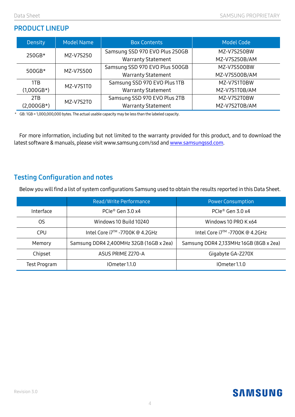#### **PRODUCT LINEUP**

| Density      | <b>Model Name</b> | <b>Box Contents</b>            | Model Code    |  |
|--------------|-------------------|--------------------------------|---------------|--|
| 250GB*       | MZ-V7S250         | Samsung SSD 970 EVO Plus 250GB | MZ-V7S250BW   |  |
|              |                   | <b>Warranty Statement</b>      | MZ-V7S250B/AM |  |
| $500GB*$     | MZ-V7S500         | Samsung SSD 970 EVO Plus 500GB | MZ-V7S500BW   |  |
|              |                   | <b>Warranty Statement</b>      | MZ-V7S500B/AM |  |
| 1TB          | MZ-V7S1T0         | Samsung SSD 970 EVO Plus 1TB   | MZ-V7S1T0BW   |  |
| $(1,000GB*)$ |                   | <b>Warranty Statement</b>      | MZ-V7S1T0B/AM |  |
| 2TB          | MZ-V7S2T0         | Samsung SSD 970 EVO Plus 2TB   | MZ-V7S2T0BW   |  |
| $(2,000GB*)$ |                   | <b>Warranty Statement</b>      | MZ-V7S2T0B/AM |  |

\* GB: 1GB = 1,000,000,000 bytes. The actual usable capacity may be less than the labeled capacity.

For more information, including but not limited to the warranty provided for this product, and to download the latest software & manuals, please visit www.samsung.com/ssd an[d www.samsungssd.com.](http://www.samsungssd.com/)

#### **Testing Configuration and notes**

Below you will find a list of system configurations Samsung used to obtain the results reported in this Data Sheet.

|              | Read/Write Performance                  | <b>Power Consumption</b>               |  |
|--------------|-----------------------------------------|----------------------------------------|--|
| Interface    | PCIe® Gen 3.0 x4                        | PCIe® Gen 3.0 x4                       |  |
| 0S           | Windows 10 Build 10240                  | Windows 10 PRO K x64                   |  |
| CPU          | Intel Core i7™ -7700K @ 4.2GHz          | Intel Core i7™ -7700K @ 4.2GHz         |  |
| Memory       | Samsung DDR4 2,400MHz 32GB (16GB x 2ea) | Samsung DDR4 2,133MHz 16GB (8GB x 2ea) |  |
| Chipset      | ASUS PRIME Z270-A                       | Gigabyte GA-Z270X                      |  |
| Test Program | IOmeter 1.1.0                           | IOmeter 1.1.0                          |  |